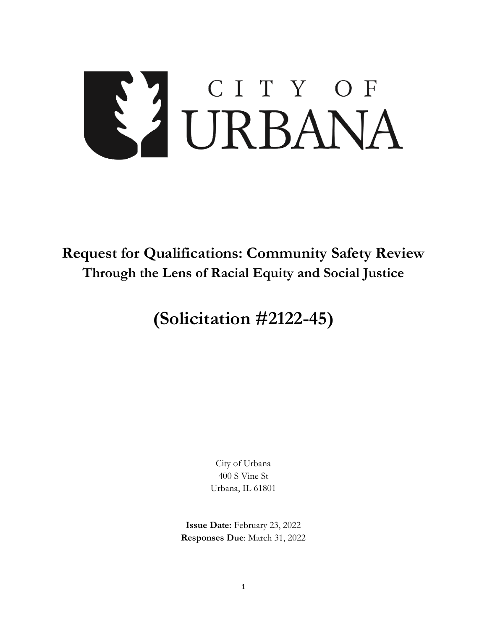# S'I CITY OF

# **Request for Qualifications: Community Safety Review Through the Lens of Racial Equity and Social Justice**

# **(Solicitation #2122-45)**

City of Urbana 400 S Vine St Urbana, IL 61801

**Issue Date:** February 23, 2022 **Responses Due**: March 31, 2022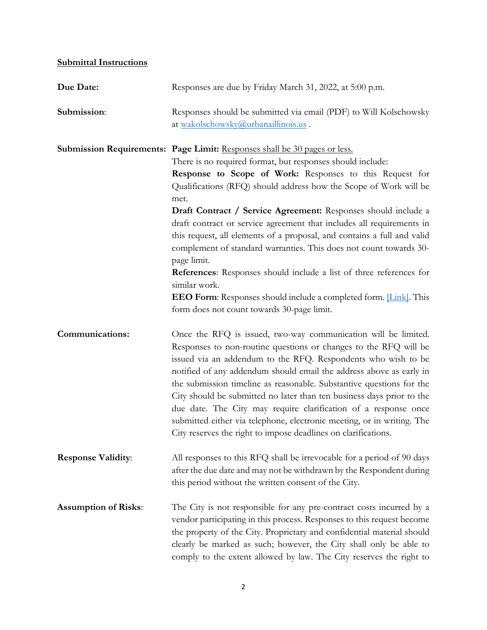## **Submittal Instructions**

| Due Date:                   | Responses are due by Friday March 31, 2022, at 5:00 p.m.                                                                                                                                                                                                                                                                                                                                                                                                                                                                                                                                                                                                                                                                                                                                                                     |
|-----------------------------|------------------------------------------------------------------------------------------------------------------------------------------------------------------------------------------------------------------------------------------------------------------------------------------------------------------------------------------------------------------------------------------------------------------------------------------------------------------------------------------------------------------------------------------------------------------------------------------------------------------------------------------------------------------------------------------------------------------------------------------------------------------------------------------------------------------------------|
| Submission:                 | Responses should be submitted via email (PDF) to Will Kolschowsky<br>at wakolschowsky@urbanaillinois.us.                                                                                                                                                                                                                                                                                                                                                                                                                                                                                                                                                                                                                                                                                                                     |
|                             | Submission Requirements: Page Limit: Responses shall be 30 pages or less.<br>There is no required format, but responses should include:<br>Response to Scope of Work: Responses to this Request for<br>Qualifications (RFQ) should address how the Scope of Work will be<br>met.<br>Draft Contract / Service Agreement: Responses should include a<br>draft contract or service agreement that includes all requirements in<br>this request, all elements of a proposal, and contains a full and valid<br>complement of standard warranties. This does not count towards 30-<br>page limit.<br><b>References:</b> Responses should include a list of three references for<br>similar work.<br><b>EEO Form:</b> Responses should include a completed form. <i>[Link]</i> . This<br>form does not count towards 30-page limit. |
| <b>Communications:</b>      | Once the RFQ is issued, two-way communication will be limited.<br>Responses to non-routine questions or changes to the RFQ will be<br>issued via an addendum to the RFQ. Respondents who wish to be<br>notified of any addendum should email the address above as early in<br>the submission timeline as reasonable. Substantive questions for the<br>City should be submitted no later than ten business days prior to the<br>due date. The City may require clarification of a response once<br>submitted either via telephone, electronic meeting, or in writing. The<br>City reserves the right to impose deadlines on clarifications.                                                                                                                                                                                   |
| <b>Response Validity:</b>   | All responses to this RFQ shall be irrevocable for a period of 90 days<br>after the due date and may not be withdrawn by the Respondent during<br>this period without the written consent of the City.                                                                                                                                                                                                                                                                                                                                                                                                                                                                                                                                                                                                                       |
| <b>Assumption of Risks:</b> | The City is not responsible for any pre-contract costs incurred by a<br>vendor participating in this process. Responses to this request become<br>the property of the City. Proprietary and confidential material should<br>clearly be marked as such; however, the City shall only be able to<br>comply to the extent allowed by law. The City reserves the right to                                                                                                                                                                                                                                                                                                                                                                                                                                                        |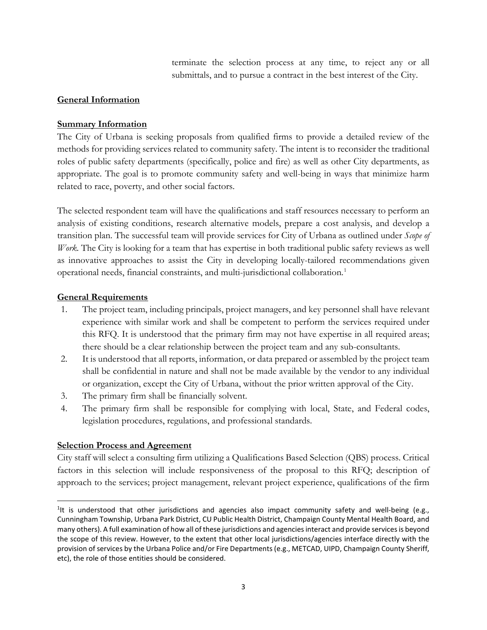terminate the selection process at any time, to reject any or all submittals, and to pursue a contract in the best interest of the City.

### **General Information**

### **Summary Information**

The City of Urbana is seeking proposals from qualified firms to provide a detailed review of the methods for providing services related to community safety. The intent is to reconsider the traditional roles of public safety departments (specifically, police and fire) as well as other City departments, as appropriate. The goal is to promote community safety and well-being in ways that minimize harm related to race, poverty, and other social factors.

The selected respondent team will have the qualifications and staff resources necessary to perform an analysis of existing conditions, research alternative models, prepare a cost analysis, and develop a transition plan. The successful team will provide services for City of Urbana as outlined under *Scope of Work.* The City is looking for a team that has expertise in both traditional public safety reviews as well as innovative approaches to assist the City in developing locally-tailored recommendations given operational needs, financial constraints, and multi-jurisdictional collaboration. [1](#page-2-0)

### **General Requirements**

- 1. The project team, including principals, project managers, and key personnel shall have relevant experience with similar work and shall be competent to perform the services required under this RFQ. It is understood that the primary firm may not have expertise in all required areas; there should be a clear relationship between the project team and any sub-consultants.
- 2. It is understood that all reports, information, or data prepared or assembled by the project team shall be confidential in nature and shall not be made available by the vendor to any individual or organization, except the City of Urbana, without the prior written approval of the City.
- 3. The primary firm shall be financially solvent.
- 4. The primary firm shall be responsible for complying with local, State, and Federal codes, legislation procedures, regulations, and professional standards.

### **Selection Process and Agreement**

City staff will select a consulting firm utilizing a Qualifications Based Selection (QBS) process. Critical factors in this selection will include responsiveness of the proposal to this RFQ; description of approach to the services; project management, relevant project experience, qualifications of the firm

<span id="page-2-0"></span> $\overline{1}$ <sup>1</sup>It is understood that other jurisdictions and agencies also impact community safety and well-being (e.g., Cunningham Township, Urbana Park District, CU Public Health District, Champaign County Mental Health Board, and many others). A full examination of how all of these jurisdictions and agencies interact and provide services is beyond the scope of this review. However, to the extent that other local jurisdictions/agencies interface directly with the provision of services by the Urbana Police and/or Fire Departments (e.g., METCAD, UIPD, Champaign County Sheriff, etc), the role of those entities should be considered.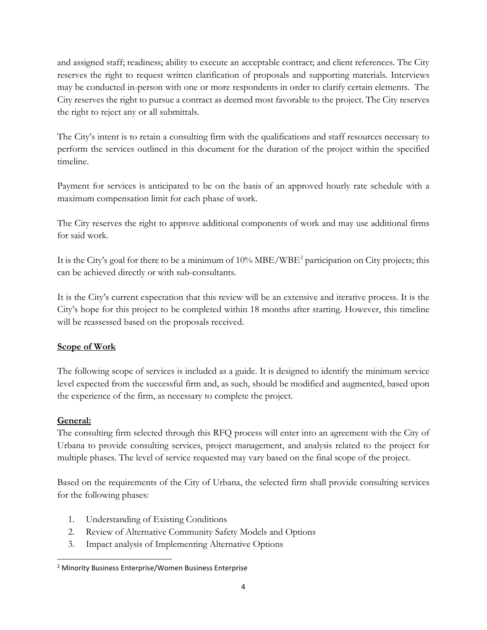and assigned staff; readiness; ability to execute an acceptable contract; and client references. The City reserves the right to request written clarification of proposals and supporting materials. Interviews may be conducted in-person with one or more respondents in order to clarify certain elements. The City reserves the right to pursue a contract as deemed most favorable to the project. The City reserves the right to reject any or all submittals.

The City's intent is to retain a consulting firm with the qualifications and staff resources necessary to perform the services outlined in this document for the duration of the project within the specified timeline.

Payment for services is anticipated to be on the basis of an approved hourly rate schedule with a maximum compensation limit for each phase of work.

The City reserves the right to approve additional components of work and may use additional firms for said work.

It is the City's goal for there to be a minimum of 10% MBE/WBE<sup>[2](#page-3-0)</sup> participation on City projects; this can be achieved directly or with sub-consultants.

It is the City's current expectation that this review will be an extensive and iterative process. It is the City's hope for this project to be completed within 18 months after starting. However, this timeline will be reassessed based on the proposals received.

### **Scope of Work**

The following scope of services is included as a guide. It is designed to identify the minimum service level expected from the successful firm and, as such, should be modified and augmented, based upon the experience of the firm, as necessary to complete the project.

### **General:**

The consulting firm selected through this RFQ process will enter into an agreement with the City of Urbana to provide consulting services, project management, and analysis related to the project for multiple phases. The level of service requested may vary based on the final scope of the project.

Based on the requirements of the City of Urbana, the selected firm shall provide consulting services for the following phases:

- 1. Understanding of Existing Conditions
- 2. Review of Alternative Community Safety Models and Options
- 3. Impact analysis of Implementing Alternative Options

<span id="page-3-0"></span> <sup>2</sup> Minority Business Enterprise/Women Business Enterprise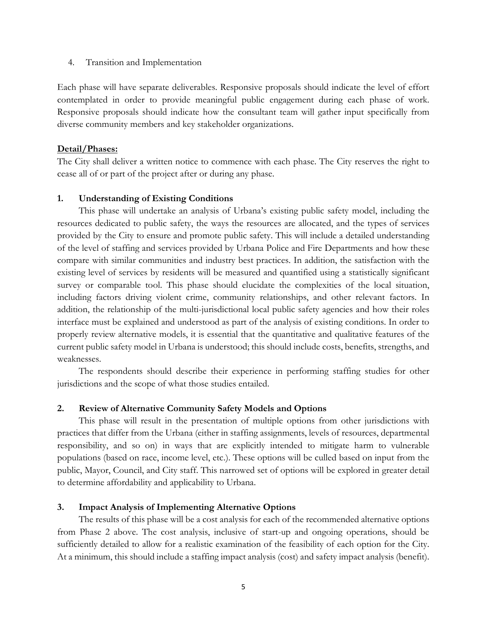4. Transition and Implementation

Each phase will have separate deliverables. Responsive proposals should indicate the level of effort contemplated in order to provide meaningful public engagement during each phase of work. Responsive proposals should indicate how the consultant team will gather input specifically from diverse community members and key stakeholder organizations.

### **Detail/Phases:**

The City shall deliver a written notice to commence with each phase. The City reserves the right to cease all of or part of the project after or during any phase.

### **1. Understanding of Existing Conditions**

This phase will undertake an analysis of Urbana's existing public safety model, including the resources dedicated to public safety, the ways the resources are allocated, and the types of services provided by the City to ensure and promote public safety. This will include a detailed understanding of the level of staffing and services provided by Urbana Police and Fire Departments and how these compare with similar communities and industry best practices. In addition, the satisfaction with the existing level of services by residents will be measured and quantified using a statistically significant survey or comparable tool. This phase should elucidate the complexities of the local situation, including factors driving violent crime, community relationships, and other relevant factors. In addition, the relationship of the multi-jurisdictional local public safety agencies and how their roles interface must be explained and understood as part of the analysis of existing conditions. In order to properly review alternative models, it is essential that the quantitative and qualitative features of the current public safety model in Urbana is understood; this should include costs, benefits, strengths, and weaknesses.

The respondents should describe their experience in performing staffing studies for other jurisdictions and the scope of what those studies entailed.

### **2. Review of Alternative Community Safety Models and Options**

This phase will result in the presentation of multiple options from other jurisdictions with practices that differ from the Urbana (either in staffing assignments, levels of resources, departmental responsibility, and so on) in ways that are explicitly intended to mitigate harm to vulnerable populations (based on race, income level, etc.). These options will be culled based on input from the public, Mayor, Council, and City staff. This narrowed set of options will be explored in greater detail to determine affordability and applicability to Urbana.

### **3. Impact Analysis of Implementing Alternative Options**

The results of this phase will be a cost analysis for each of the recommended alternative options from Phase 2 above. The cost analysis, inclusive of start-up and ongoing operations, should be sufficiently detailed to allow for a realistic examination of the feasibility of each option for the City. At a minimum, this should include a staffing impact analysis (cost) and safety impact analysis (benefit).